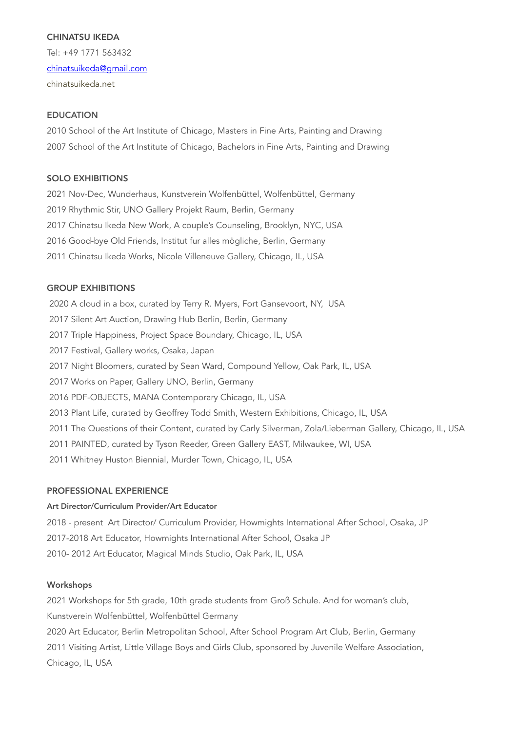## CHINATSU IKEDA

Tel: +49 1771 563432 [chinatsuikeda@gmail.com](mailto:chinatsuikeda@gmail.com) chinatsuikeda.net

# **FDUCATION**

2010 School of the Art Institute of Chicago, Masters in Fine Arts, Painting and Drawing 2007 School of the Art Institute of Chicago, Bachelors in Fine Arts, Painting and Drawing

## SOLO EXHIBITIONS

2021 Nov-Dec, Wunderhaus, Kunstverein Wolfenbüttel, Wolfenbüttel, Germany 2019 Rhythmic Stir, UNO Gallery Projekt Raum, Berlin, Germany 2017 Chinatsu Ikeda New Work, A couple's Counseling, Brooklyn, NYC, USA 2016 Good-bye Old Friends, Institut fur alles mögliche, Berlin, Germany 2011 Chinatsu Ikeda Works, Nicole Villeneuve Gallery, Chicago, IL, USA

## GROUP EXHIBITIONS

2020 A cloud in a box, curated by Terry R. Myers, Fort Gansevoort, NY, USA 2017 Silent Art Auction, Drawing Hub Berlin, Berlin, Germany 2017 Triple Happiness, Project Space Boundary, Chicago, IL, USA 2017 Festival, Gallery works, Osaka, Japan 2017 Night Bloomers, curated by Sean Ward, Compound Yellow, Oak Park, IL, USA 2017 Works on Paper, Gallery UNO, Berlin, Germany 2016 PDF-OBJECTS, MANA Contemporary Chicago, IL, USA 2013 Plant Life, curated by Geoffrey Todd Smith, Western Exhibitions, Chicago, IL, USA 2011 The Questions of their Content, curated by Carly Silverman, Zola/Lieberman Gallery, Chicago, IL, USA 2011 PAINTED, curated by Tyson Reeder, Green Gallery EAST, Milwaukee, WI, USA 2011 Whitney Huston Biennial, Murder Town, Chicago, IL, USA

## PROFESSIONAL EXPERIENCE

## Art Director/Curriculum Provider/Art Educator

2018 - present Art Director/ Curriculum Provider, Howmights International After School, Osaka, JP 2017-2018 Art Educator, Howmights International After School, Osaka JP 2010- 2012 Art Educator, Magical Minds Studio, Oak Park, IL, USA

## Workshops

2021 Workshops for 5th grade, 10th grade students from Groß Schule. And for woman's club, Kunstverein Wolfenbüttel, Wolfenbüttel Germany 2020 Art Educator, Berlin Metropolitan School, After School Program Art Club, Berlin, Germany 2011 Visiting Artist, Little Village Boys and Girls Club, sponsored by Juvenile Welfare Association, Chicago, IL, USA